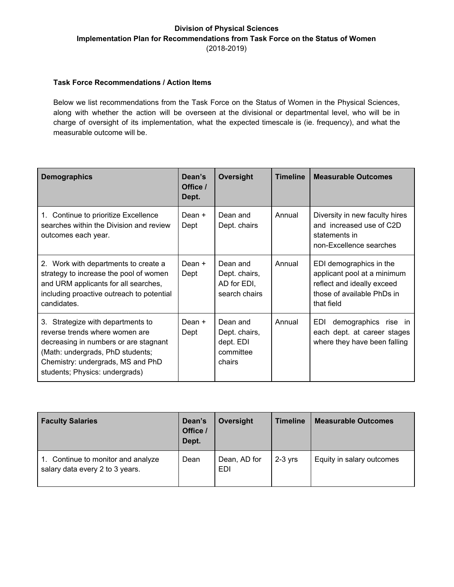#### **Division of Physical Sciences Implementation Plan for Recommendations from Task Force on the Status of Women** (2018-2019)

#### **Task Force Recommendations / Action Items**

Below we list recommendations from the Task Force on the Status of Women in the Physical Sciences, along with whether the action will be overseen at the divisional or departmental level, who will be in charge of oversight of its implementation, what the expected timescale is (ie. frequency), and what the measurable outcome will be.

| <b>Demographics</b>                                                                                                                                                                                                     | Dean's<br>Office /<br>Dept. | Oversight                                                     | <b>Timeline</b> | <b>Measurable Outcomes</b>                                                                                                       |
|-------------------------------------------------------------------------------------------------------------------------------------------------------------------------------------------------------------------------|-----------------------------|---------------------------------------------------------------|-----------------|----------------------------------------------------------------------------------------------------------------------------------|
| 1. Continue to prioritize Excellence<br>searches within the Division and review<br>outcomes each year.                                                                                                                  | Dean +<br>Dept              | Dean and<br>Dept. chairs                                      | Annual          | Diversity in new faculty hires<br>and increased use of C2D<br>statements in<br>non-Excellence searches                           |
| 2. Work with departments to create a<br>strategy to increase the pool of women<br>and URM applicants for all searches,<br>including proactive outreach to potential<br>candidates.                                      | Dean +<br>Dept              | Dean and<br>Dept. chairs,<br>AD for EDI,<br>search chairs     | Annual          | EDI demographics in the<br>applicant pool at a minimum<br>reflect and ideally exceed<br>those of available PhDs in<br>that field |
| 3. Strategize with departments to<br>reverse trends where women are<br>decreasing in numbers or are stagnant<br>(Math: undergrads, PhD students;<br>Chemistry: undergrads, MS and PhD<br>students; Physics: undergrads) | Dean +<br>Dept              | Dean and<br>Dept. chairs,<br>dept. EDI<br>committee<br>chairs | Annual          | EDI<br>demographics rise in<br>each dept. at career stages<br>where they have been falling                                       |

| <b>Faculty Salaries</b>                                            | Dean's<br>Office /<br>Dept. | Oversight           | <b>Timeline</b> | <b>Measurable Outcomes</b> |
|--------------------------------------------------------------------|-----------------------------|---------------------|-----------------|----------------------------|
| Continue to monitor and analyze<br>salary data every 2 to 3 years. | Dean                        | Dean, AD for<br>EDI | $2-3$ yrs       | Equity in salary outcomes  |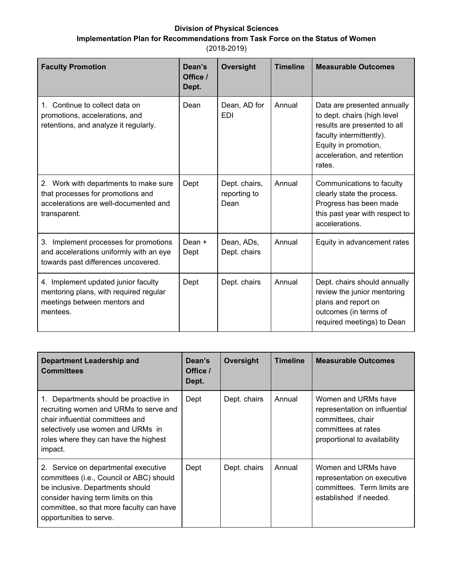### **Division of Physical Sciences Implementation Plan for Recommendations from Task Force on the Status of Women** (2018-2019)

| <b>Faculty Promotion</b>                                                                                                            | Dean's<br>Office /<br>Dept. | Oversight                             | <b>Timeline</b> | <b>Measurable Outcomes</b>                                                                                                                                                              |
|-------------------------------------------------------------------------------------------------------------------------------------|-----------------------------|---------------------------------------|-----------------|-----------------------------------------------------------------------------------------------------------------------------------------------------------------------------------------|
| 1. Continue to collect data on<br>promotions, accelerations, and<br>retentions, and analyze it regularly.                           | Dean                        | Dean, AD for<br><b>EDI</b>            | Annual          | Data are presented annually<br>to dept. chairs (high level<br>results are presented to all<br>faculty intermittently).<br>Equity in promotion,<br>acceleration, and retention<br>rates. |
| 2. Work with departments to make sure<br>that processes for promotions and<br>accelerations are well-documented and<br>transparent. | Dept                        | Dept. chairs,<br>reporting to<br>Dean | Annual          | Communications to faculty<br>clearly state the process.<br>Progress has been made<br>this past year with respect to<br>accelerations.                                                   |
| 3. Implement processes for promotions<br>and accelerations uniformly with an eye<br>towards past differences uncovered.             | Dean +<br>Dept              | Dean, ADs,<br>Dept. chairs            | Annual          | Equity in advancement rates                                                                                                                                                             |
| 4. Implement updated junior faculty<br>mentoring plans, with required regular<br>meetings between mentors and<br>mentees.           | Dept                        | Dept. chairs                          | Annual          | Dept. chairs should annually<br>review the junior mentoring<br>plans and report on<br>outcomes (in terms of<br>required meetings) to Dean                                               |

| Department Leadership and<br><b>Committees</b>                                                                                                                                                                                     | Dean's<br>Office /<br>Dept. | Oversight    | <b>Timeline</b> | <b>Measurable Outcomes</b>                                                                                                       |
|------------------------------------------------------------------------------------------------------------------------------------------------------------------------------------------------------------------------------------|-----------------------------|--------------|-----------------|----------------------------------------------------------------------------------------------------------------------------------|
| 1. Departments should be proactive in<br>recruiting women and URMs to serve and<br>chair influential committees and<br>selectively use women and URMs in<br>roles where they can have the highest<br>impact.                       | Dept                        | Dept. chairs | Annual          | Women and URMs have<br>representation on influential<br>committees, chair<br>committees at rates<br>proportional to availability |
| 2. Service on departmental executive<br>committees (i.e., Council or ABC) should<br>be inclusive. Departments should<br>consider having term limits on this<br>committee, so that more faculty can have<br>opportunities to serve. | Dept                        | Dept. chairs | Annual          | Women and URMs have<br>representation on executive<br>committees. Term limits are<br>established if needed.                      |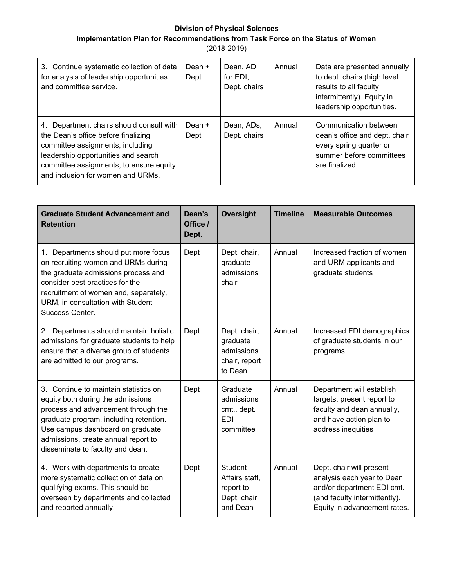#### **Division of Physical Sciences**

**Implementation Plan for Recommendations from Task Force on the Status of Women**

| 3. Continue systematic collection of data<br>for analysis of leadership opportunities<br>and committee service.                                                                                                                            | Dean +<br>Dept | Dean, AD<br>for EDI.<br>Dept. chairs | Annual | Data are presented annually<br>to dept. chairs (high level<br>results to all faculty<br>intermittently). Equity in<br>leadership opportunities. |
|--------------------------------------------------------------------------------------------------------------------------------------------------------------------------------------------------------------------------------------------|----------------|--------------------------------------|--------|-------------------------------------------------------------------------------------------------------------------------------------------------|
| 4. Department chairs should consult with<br>the Dean's office before finalizing<br>committee assignments, including<br>leadership opportunities and search<br>committee assignments, to ensure equity<br>and inclusion for women and URMs. | Dean +<br>Dept | Dean, ADs,<br>Dept. chairs           | Annual | Communication between<br>dean's office and dept. chair<br>every spring quarter or<br>summer before committees<br>are finalized                  |

| <b>Graduate Student Advancement and</b><br><b>Retention</b>                                                                                                                                                                                                                | Dean's<br>Office /<br>Dept. | Oversight                                                                | <b>Timeline</b> | <b>Measurable Outcomes</b>                                                                                                                            |
|----------------------------------------------------------------------------------------------------------------------------------------------------------------------------------------------------------------------------------------------------------------------------|-----------------------------|--------------------------------------------------------------------------|-----------------|-------------------------------------------------------------------------------------------------------------------------------------------------------|
| 1. Departments should put more focus<br>on recruiting women and URMs during<br>the graduate admissions process and<br>consider best practices for the<br>recruitment of women and, separately,<br>URM, in consultation with Student<br>Success Center.                     | Dept                        | Dept. chair,<br>graduate<br>admissions<br>chair                          | Annual          | Increased fraction of women<br>and URM applicants and<br>graduate students                                                                            |
| 2. Departments should maintain holistic<br>admissions for graduate students to help<br>ensure that a diverse group of students<br>are admitted to our programs.                                                                                                            | Dept                        | Dept. chair,<br>graduate<br>admissions<br>chair, report<br>to Dean       | Annual          | Increased EDI demographics<br>of graduate students in our<br>programs                                                                                 |
| 3. Continue to maintain statistics on<br>equity both during the admissions<br>process and advancement through the<br>graduate program, including retention.<br>Use campus dashboard on graduate<br>admissions, create annual report to<br>disseminate to faculty and dean. | Dept                        | Graduate<br>admissions<br>cmt., dept.<br><b>EDI</b><br>committee         | Annual          | Department will establish<br>targets, present report to<br>faculty and dean annually,<br>and have action plan to<br>address inequities                |
| 4. Work with departments to create<br>more systematic collection of data on<br>qualifying exams. This should be<br>overseen by departments and collected<br>and reported annually.                                                                                         | Dept                        | <b>Student</b><br>Affairs staff,<br>report to<br>Dept. chair<br>and Dean | Annual          | Dept. chair will present<br>analysis each year to Dean<br>and/or department EDI cmt.<br>(and faculty intermittently).<br>Equity in advancement rates. |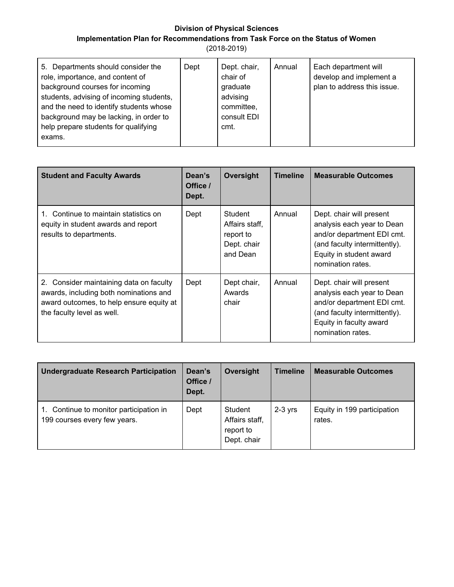#### **Division of Physical Sciences**

# **Implementation Plan for Recommendations from Task Force on the Status of Women**

| 5. Departments should consider the<br>role, importance, and content of<br>background courses for incoming<br>students, advising of incoming students,<br>and the need to identify students whose<br>background may be lacking, in order to<br>help prepare students for qualifying<br>exams. | Dept | Dept. chair,<br>chair of<br>graduate<br>advising<br>committee,<br>consult EDI<br>cmt. | Annual | Each department will<br>develop and implement a<br>plan to address this issue. |
|----------------------------------------------------------------------------------------------------------------------------------------------------------------------------------------------------------------------------------------------------------------------------------------------|------|---------------------------------------------------------------------------------------|--------|--------------------------------------------------------------------------------|
|----------------------------------------------------------------------------------------------------------------------------------------------------------------------------------------------------------------------------------------------------------------------------------------------|------|---------------------------------------------------------------------------------------|--------|--------------------------------------------------------------------------------|

| <b>Student and Faculty Awards</b>                                                                                                                           | Dean's<br>Office /<br>Dept. | Oversight                                                         | <b>Timeline</b> | <b>Measurable Outcomes</b>                                                                                                                                            |
|-------------------------------------------------------------------------------------------------------------------------------------------------------------|-----------------------------|-------------------------------------------------------------------|-----------------|-----------------------------------------------------------------------------------------------------------------------------------------------------------------------|
| 1. Continue to maintain statistics on<br>equity in student awards and report<br>results to departments.                                                     | Dept                        | Student<br>Affairs staff.<br>report to<br>Dept. chair<br>and Dean | Annual          | Dept. chair will present<br>analysis each year to Dean<br>and/or department EDI cmt.<br>(and faculty intermittently).<br>Equity in student award<br>nomination rates. |
| 2. Consider maintaining data on faculty<br>awards, including both nominations and<br>award outcomes, to help ensure equity at<br>the faculty level as well. | Dept                        | Dept chair,<br>Awards<br>chair                                    | Annual          | Dept. chair will present<br>analysis each year to Dean<br>and/or department EDI cmt.<br>(and faculty intermittently).<br>Equity in faculty award<br>nomination rates. |

| <b>Undergraduate Research Participation</b>                          | Dean's<br>Office /<br>Dept. | Oversight                                             | <b>Timeline</b> | <b>Measurable Outcomes</b>            |
|----------------------------------------------------------------------|-----------------------------|-------------------------------------------------------|-----------------|---------------------------------------|
| Continue to monitor participation in<br>199 courses every few years. | Dept                        | Student<br>Affairs staff,<br>report to<br>Dept. chair | $2-3$ yrs       | Equity in 199 participation<br>rates. |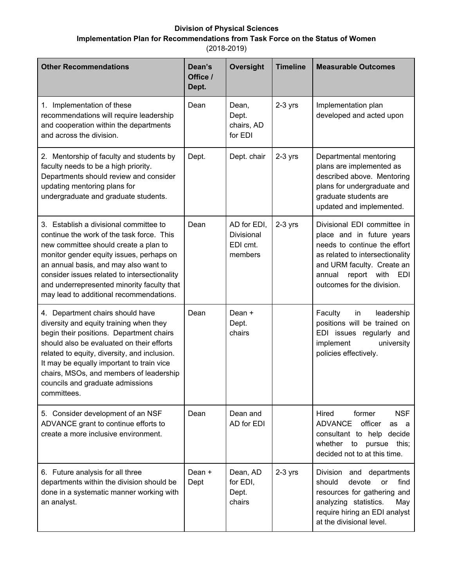## **Division of Physical Sciences Implementation Plan for Recommendations from Task Force on the Status of Women**

| <b>Other Recommendations</b>                                                                                                                                                                                                                                                                                                                                    | Dean's<br>Office /<br>Dept. | Oversight                                        | <b>Timeline</b> | <b>Measurable Outcomes</b>                                                                                                                                                                                                 |
|-----------------------------------------------------------------------------------------------------------------------------------------------------------------------------------------------------------------------------------------------------------------------------------------------------------------------------------------------------------------|-----------------------------|--------------------------------------------------|-----------------|----------------------------------------------------------------------------------------------------------------------------------------------------------------------------------------------------------------------------|
| 1. Implementation of these<br>recommendations will require leadership<br>and cooperation within the departments<br>and across the division.                                                                                                                                                                                                                     | Dean                        | Dean,<br>Dept.<br>chairs, AD<br>for EDI          | $2-3$ yrs       | Implementation plan<br>developed and acted upon                                                                                                                                                                            |
| 2. Mentorship of faculty and students by<br>faculty needs to be a high priority.<br>Departments should review and consider<br>updating mentoring plans for<br>undergraduate and graduate students.                                                                                                                                                              | Dept.                       | Dept. chair                                      | $2-3$ yrs       | Departmental mentoring<br>plans are implemented as<br>described above. Mentoring<br>plans for undergraduate and<br>graduate students are<br>updated and implemented.                                                       |
| 3. Establish a divisional committee to<br>continue the work of the task force. This<br>new committee should create a plan to<br>monitor gender equity issues, perhaps on<br>an annual basis, and may also want to<br>consider issues related to intersectionality<br>and underrepresented minority faculty that<br>may lead to additional recommendations.      | Dean                        | AD for EDI,<br>Divisional<br>EDI cmt.<br>members | $2-3$ yrs       | Divisional EDI committee in<br>place and in future years<br>needs to continue the effort<br>as related to intersectionality<br>and URM faculty. Create an<br>annual<br>report<br>with<br>EDI<br>outcomes for the division. |
| 4. Department chairs should have<br>diversity and equity training when they<br>begin their positions. Department chairs<br>should also be evaluated on their efforts<br>related to equity, diversity, and inclusion.<br>It may be equally important to train vice<br>chairs, MSOs, and members of leadership<br>councils and graduate admissions<br>committees. | Dean                        | Dean +<br>Dept.<br>chairs                        |                 | Faculty<br>leadership<br>in<br>positions will be trained on<br>EDI issues regularly and<br>implement<br>university<br>policies effectively.                                                                                |
| 5. Consider development of an NSF<br>ADVANCE grant to continue efforts to<br>create a more inclusive environment.                                                                                                                                                                                                                                               | Dean                        | Dean and<br>AD for EDI                           |                 | <b>NSF</b><br>Hired<br>former<br><b>ADVANCE</b><br>officer<br>as a<br>consultant to help decide<br>whether<br>to<br>pursue this;<br>decided not to at this time.                                                           |
| 6. Future analysis for all three<br>departments within the division should be<br>done in a systematic manner working with<br>an analyst.                                                                                                                                                                                                                        | Dean +<br>Dept              | Dean, AD<br>for EDI,<br>Dept.<br>chairs          | $2-3$ yrs       | Division and departments<br>should<br>devote<br>find<br><b>or</b><br>resources for gathering and<br>analyzing statistics.<br>May<br>require hiring an EDI analyst<br>at the divisional level.                              |